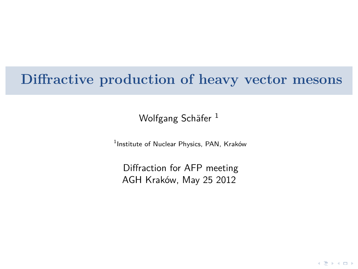### **Diffractive production of heavy vector mesons**

Wolfgang Schäfer<sup>1</sup>

1 Institute of Nuclear Physics, PAN, Kraków

Diffraction for AFP meeting AGH Kraków, May 25 2012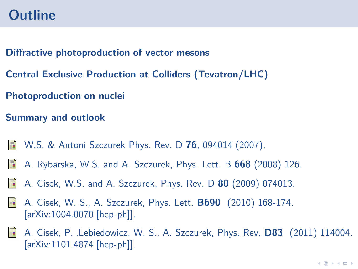### **Outline**

**[Diffractive photoproduction of vector mesons](#page-2-0)**

**[Central Exclusive Production at Colliders \(Tevatron/LHC\)](#page-7-0)**

**[Photoproduction on nuclei](#page-17-0)**

**[Summary and outlook](#page-22-0)**

- F. W.S. & Antoni Szczurek Phys. Rev. D **76**, 094014 (2007).
- A. Rybarska, W.S. and A. Szczurek, Phys. Lett. B **668** (2008) 126. 靠
- A. Cisek, W.S. and A. Szczurek, Phys. Rev. D **80** (2009) 074013. 靠
- 手 A. Cisek, W. S., A. Szczurek, Phys. Lett. **B690** (2010) 168-174. [arXiv:1004.0070 [hep-ph]].
- F A. Cisek, P. .Lebiedowicz, W. S., A. Szczurek, Phys. Rev. **D83** (2011) 114004. [arXiv:1101.4874 [hep-ph]].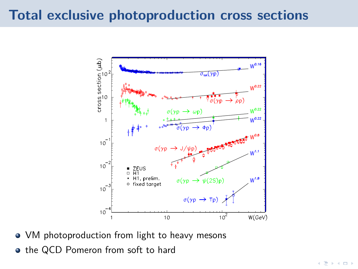### **Total exclusive photoproduction cross sections**



• VM photoproduction from light to heavy mesons

<span id="page-2-0"></span>• the QCD Pomeron from soft to hard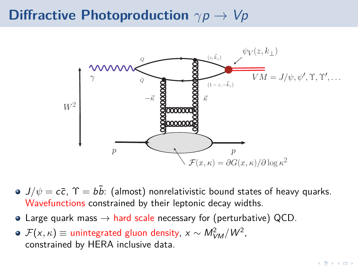### **Diffractive Photoproduction** *γ*p → Vp



- $J/\psi = c\bar{c}$ ,  $\Upsilon = b\bar{b}$ : (almost) nonrelativistic bound states of heavy quarks. Wavefunctions constrained by their leptonic decay widths.
- Large quark mass  $\rightarrow$  hard scale necessary for (perturbative) QCD.
- $\mathcal{F}(\mathsf{x},\kappa) \equiv \mathsf{unintegrated}$  gluon density,  $\mathsf{x} \sim \mathsf{M}_{\mathsf{VM}}^2/\mathsf{W}^2$ , constrained by HERA inclusive data.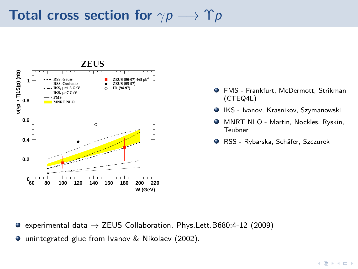## **Total cross section for**  $\gamma p \longrightarrow \Upsilon p$



- FMS Frankfurt, McDermott, Strikman (CTEQ4L)
- IKS Ivanov, Krasnikov, Szymanowski
- MNRT NLO Martin, Nockles, Ryskin, Teubner
- RSS Rybarska, Schäfer, Szczurek

- $\bullet$  experimental data  $\rightarrow$  ZEUS Collaboration, Phys.Lett.B680:4-12 (2009)
- unintegrated glue from Ivanov & Nikolaev (2002).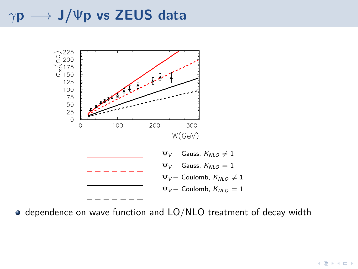## *<sup>γ</sup>***<sup>p</sup>** −→ **J/**Ψ**p vs ZEUS data**



dependence on wave function and LO/NLO treatment of decay width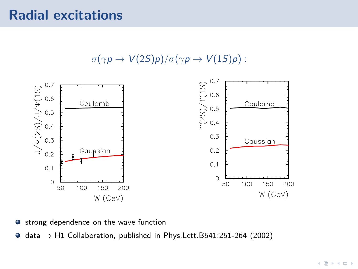### **Radial excitations**





- strong dependence on the wave function  $\bullet$
- $\bullet$ data  $\rightarrow$  H1 Collaboration, published in Phys. Lett. B541:251-264 (2002)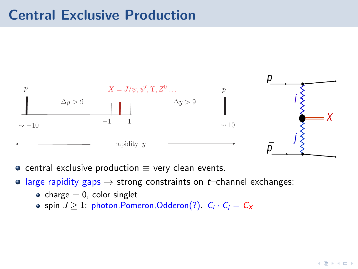### **Central Exclusive Production**



- central exclusive production  $\equiv$  very clean events.
- <span id="page-7-0"></span> $\circ$  large rapidity gaps  $\rightarrow$  strong constraints on *t*–channel exchanges:
	- charge  $= 0$ , color singlet
	- spin  $J \geq 1$ : photon, Pomeron, Odderon(?).  $C_i \cdot C_j = C_X$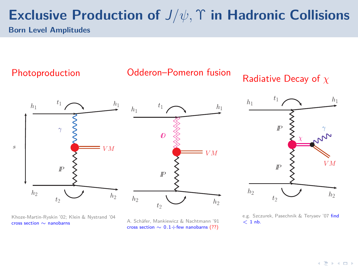# **Exclusive Production of** J*/ψ,* Υ **in Hadronic Collisions**

**Born Level Amplitudes**

Photoproduction

Odderon–Pomeron fusion

Radiative Decay of *χ*

 $t_1$ 



 $\lbrack P \rbrack$   $\lbrack$   $\lbrack$   $\lbrack$   $\lbrack$   $\lbrack$   $\lbrack$   $\lbrack$   $\lbrack$   $\lbrack$   $\lbrack$   $\lbrack$   $\lbrack$   $\lbrack$   $\lbrack$   $\lbrack$   $\lbrack$   $\lbrack$   $\lbrack$   $\lbrack$   $\lbrack$   $\lbrack$   $\lbrack$   $\lbrack$   $\lbrack$   $\lbrack$   $\lbrack$   $\lbrack$   $\lbrack$   $\lbrack$   $\lbrack$  $t_2$  $h_1$  $h_1$  $h_2$   $h_2$   $h_2$  $\mathbb{P}$  >  $\gamma$ χ

Khoze-Martin-Ryskin '02; Klein & Nystrand '04 cross section ∼ nanobarns

A. Schäfer, Mankiewicz & Nachtmann '91 cross section ∼ 0*.*1÷few nanobarns (??)

e.g. Szczurek, Pasechnik & Tervaev '07 find  $<$  1 nb.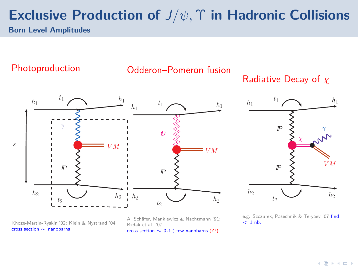## **Exclusive Production of** J*/ψ,* Υ **in Hadronic Collisions**

**Born Level Amplitudes**

#### Photoproduction



#### Radiative Decay of *χ*





Khoze-Martin-Ryskin '02; Klein & Nystrand '04 cross section ∼ nanobarns

A. Schäfer, Mankiewicz & Nachtmann '91; Bzdak et al. '07 cross section ∼ 0*.*1÷few nanobarns (??)

e.g. Szczurek, Pasechnik & Teryaev '07 find  $<$  1 nb.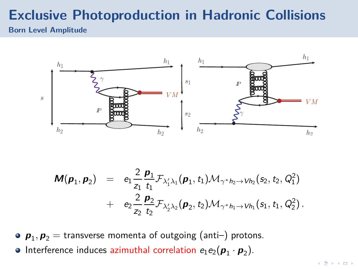# **Exclusive Photoproduction in Hadronic Collisions**

#### **Born Level Amplitude**



$$
\mathbf{M}(\mathbf{p}_1, \mathbf{p}_2) = e_1 \frac{2}{z_1} \frac{\mathbf{p}_1}{t_1} \mathcal{F}_{\lambda'_1 \lambda_1}(\mathbf{p}_1, t_1) \mathcal{M}_{\gamma^* h_2 \to V h_2}(s_2, t_2, Q_1^2) + e_2 \frac{2}{z_2} \frac{\mathbf{p}_2}{t_2} \mathcal{F}_{\lambda'_2 \lambda_2}(\mathbf{p}_2, t_2) \mathcal{M}_{\gamma^* h_1 \to V h_1}(s_1, t_1, Q_2^2).
$$

 $\bm{p}_1, \bm{p}_2 = \text{transverse momenta}$  of outgoing (anti–) protons.

Interference induces azimuthal correlation  $e_1e_2(\boldsymbol{p}_1 \cdot \boldsymbol{p}_2)$ .  $\bullet$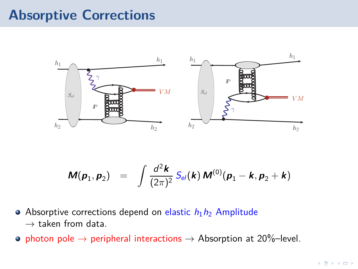### **Absorptive Corrections**



$$
\mathbf{M}(\mathbf{p}_1,\mathbf{p}_2) = \int \frac{d^2 \mathbf{k}}{(2\pi)^2} S_{el}(\mathbf{k}) \, \mathbf{M}^{(0)}(\mathbf{p}_1-\mathbf{k},\mathbf{p}_2+\mathbf{k})
$$

- Absorptive corrections depend on elastic  $h_1h_2$  Amplitude  $\rightarrow$  taken from data.
- photon pole  $\rightarrow$  peripheral interactions  $\rightarrow$  Absorption at 20%–level.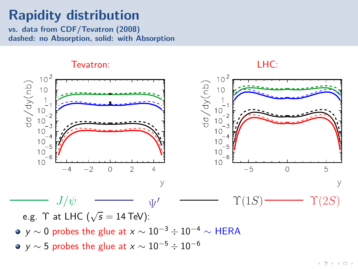### **Rapidity distribution**

**vs. data from CDF/Tevatron (2008) dashed: no Absorption, solid: with Absorption**

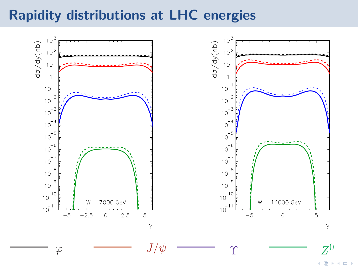### **Rapidity distributions at LHC energies**



Ξ  $\Box$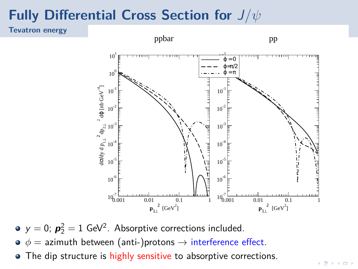# **Fully Differential Cross Section for** J*/ψ*

**Tevatron energy**



 $y = 0$ ;  $p_2^2 = 1$  GeV<sup>2</sup>. Absorptive corrections included.

- $\phi =$  azimuth between (anti-)protons  $\rightarrow$  interference effect.
- The dip structure is highly sensitive to absorptive corrections.  $\bullet$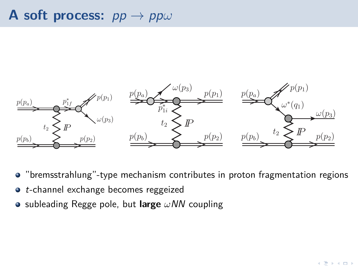## **A soft process:** pp → pp*ω*



- "bremsstrahlung"-type mechanism contributes in proton fragmentation regions
- t-channel exchange becomes reggeized
- subleading Regge pole, but **large** *ω*NN coupling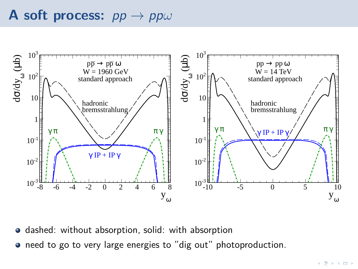### **A soft process:** pp → pp*ω*



- $\bullet$  dashed: without absorption, solid: with absorption
- **•** need to go to very large energies to "dig out" photoproduction.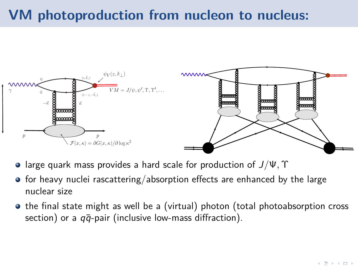## **VM photoproduction from nucleon to nucleus:**



- large quark mass provides a hard scale for production of J*/*Ψ*,* Υ
- $\bullet$  for heavy nuclei rascattering/absorption effects are enhanced by the large nuclear size
- <span id="page-17-0"></span>• the final state might as well be a (virtual) photon (total photoabsorption cross section) or a  $q\bar{q}$ -pair (inclusive low-mass diffraction).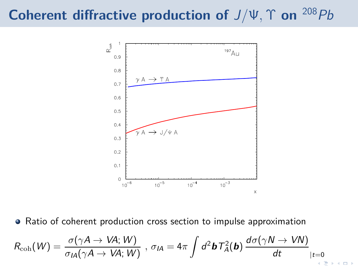# **Coherent diffractive production of** J*/*Ψ*,* Υ **on** <sup>208</sup>Pb



Ratio of coherent production cross section to impulse approximation  $\bullet$ 

$$
R_{\rm coh}(W)=\frac{\sigma(\gamma A\to V\!A;W)}{\sigma_{I\!A}(\gamma A\to V\!A;W)}\ ,\ \sigma_{I\!A}=4\pi\int d^2\bm{b}\,T_A^2(\bm{b})\,\frac{d\sigma(\gamma N\to V\!N)}{dt}_{|t=0}\Big|_{t=0}
$$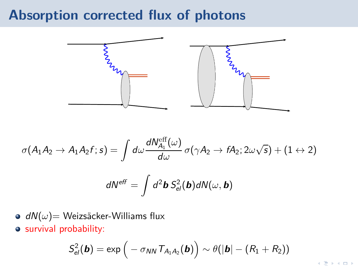### **Absorption corrected flux of photons**



$$
\sigma(A_1A_2 \to A_1A_2f; s) = \int d\omega \frac{dN_{A_1}^{\text{eff}}(\omega)}{d\omega} \sigma(\gamma A_2 \to fA_2; 2\omega\sqrt{s}) + (1 \to 2)
$$

$$
dN^{\text{eff}} = \int d^2\mathbf{b} S_{\text{el}}^2(\mathbf{b}) dN(\omega, \mathbf{b})
$$

- **■** dN(*ω*)= Weizsäcker-Williams flux
- survival probability:

$$
S_{el}^2(\boldsymbol{b}) = \exp\Big(-\sigma_{\text{NN}}\, \mathcal{T}_{A_1A_2}(\boldsymbol{b})\Big) \sim \theta(|\boldsymbol{b}| - (R_1 + R_2))
$$

 $\mathbf{A} \equiv \mathbf{B} + \mathbf{A} \equiv \mathbf{B} + \mathbf{B}$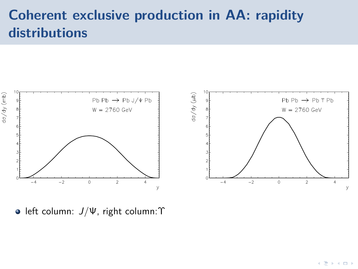### **Coherent exclusive production in AA: rapidity distributions**



**·** left column:  $J/\Psi$ , right column: Υ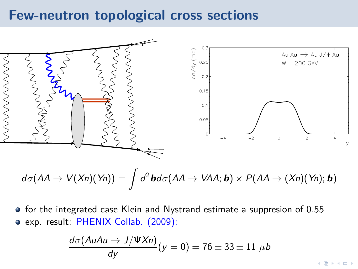### **Few-neutron topological cross sections**



$$
d\sigma(AA \rightarrow V(Xn)(Yn)) = \int d^2\bm{b} d\sigma(AA \rightarrow VAA; \bm{b}) \times P(AA \rightarrow (Xn)(Yn); \bm{b})
$$

• for the integrated case Klein and Nystrand estimate a suppresion of 0.55 exp. result: PHENIX Collab. (2009):

$$
\frac{d\sigma(AuAu \to J/\Psi Xn)}{dy}(y=0) = 76 \pm 33 \pm 11 \ \mu b
$$

к∋кок